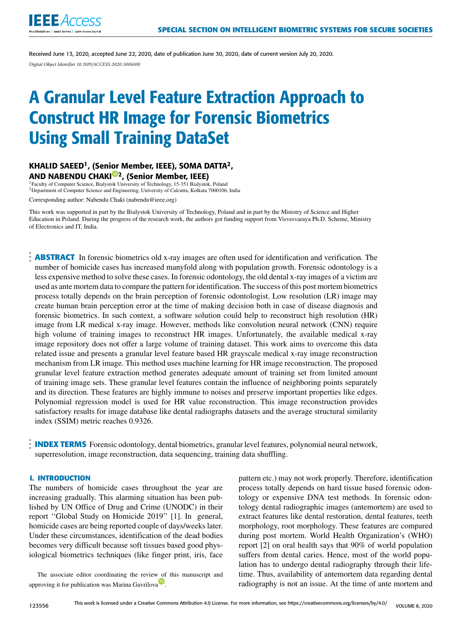

Received June 13, 2020, accepted June 22, 2020, date of publication June 30, 2020, date of current version July 20, 2020. *Digital Object Identifier 10.1109/ACCESS.2020.3006100*

# A Granular Level Feature Extraction Approach to Construct HR Image for Forensic Biometrics Using Small Training DataSet

# KHALID SAEED<sup>1</sup>, (Senior Member, IEEE), SOMA DATTA<sup>2</sup>, AND NABENDU CHAKI<sup>102</sup>, (Senior Member, IEEE)<br><sup>1</sup>Faculty of Computer Science, Bialystok University of Technology, 15-351 Bialystok, Poland

<sup>2</sup>Department of Computer Science and Engineering, University of Calcutta, Kolkata 7000106, India

Corresponding author: Nabendu Chaki (nabendu@ieee.org)

This work was supported in part by the Bialystok University of Technology, Poland and in part by the Ministry of Science and Higher Education in Poland. During the progress of the research work, the authors got funding support from Visvesvaraya Ph.D. Scheme, Ministry of Electronics and IT, India.

**ABSTRACT** In forensic biometrics old x-ray images are often used for identification and verification. The number of homicide cases has increased manyfold along with population growth. Forensic odontology is a less expensive method to solve these cases. In forensic odontology, the old dental x-ray images of a victim are used as ante mortem data to compare the pattern for identification. The success of this post mortem biometrics process totally depends on the brain perception of forensic odontologist. Low resolution (LR) image may create human brain perception error at the time of making decision both in case of disease diagnosis and forensic biometrics. In such context, a software solution could help to reconstruct high resolution (HR) image from LR medical x-ray image. However, methods like convolution neural network (CNN) require high volume of training images to reconstruct HR images. Unfortunately, the available medical x-ray image repository does not offer a large volume of training dataset. This work aims to overcome this data related issue and presents a granular level feature based HR grayscale medical x-ray image reconstruction mechanism from LR image. This method uses machine learning for HR image reconstruction. The proposed granular level feature extraction method generates adequate amount of training set from limited amount of training image sets. These granular level features contain the influence of neighboring points separately and its direction. These features are highly immune to noises and preserve important properties like edges. Polynomial regression model is used for HR value reconstruction. This image reconstruction provides satisfactory results for image database like dental radiographs datasets and the average structural similarity index (SSIM) metric reaches 0.9326.

**INDEX TERMS** Forensic odontology, dental biometrics, granular level features, polynomial neural network, superresolution, image reconstruction, data sequencing, training data shuffling.

#### **I. INTRODUCTION**

The numbers of homicide cases throughout the year are increasing gradually. This alarming situation has been published by UN Office of Drug and Crime (UNODC) in their report ''Global Study on Homicide 2019'' [1]. In general, homicide cases are being reported couple of days/weeks later. Under these circumstances, identification of the dead bodies becomes very difficult because soft tissues based good physiological biometrics techniques (like finger print, iris, face

The associate editor coordinating the review of this manuscript and approving it for publication was Marina Gavrilova<sup>D</sup>.

pattern etc.) may not work properly. Therefore, identification process totally depends on hard tissue based forensic odontology or expensive DNA test methods. In forensic odontology dental radiographic images (antemortem) are used to extract features like dental restoration, dental features, teeth morphology, root morphology. These features are compared during post mortem. World Health Organization's (WHO) report [2] on oral health says that 90% of world population suffers from dental caries. Hence, most of the world population has to undergo dental radiography through their lifetime. Thus, availability of antemortem data regarding dental radiography is not an issue. At the time of ante mortem and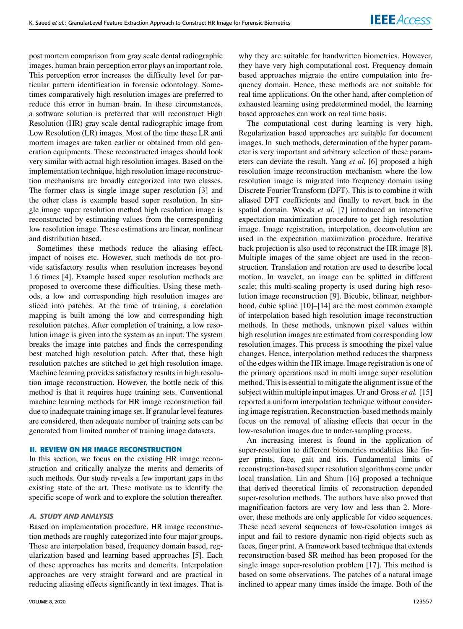post mortem comparison from gray scale dental radiographic images, human brain perception error plays an important role. This perception error increases the difficulty level for particular pattern identification in forensic odontology. Sometimes comparatively high resolution images are preferred to reduce this error in human brain. In these circumstances, a software solution is preferred that will reconstruct High Resolution (HR) gray scale dental radiographic image from Low Resolution (LR) images. Most of the time these LR anti mortem images are taken earlier or obtained from old generation equipments. These reconstructed images should look very similar with actual high resolution images. Based on the implementation technique, high resolution image reconstruction mechanisms are broadly categorized into two classes. The former class is single image super resolution [3] and the other class is example based super resolution. In single image super resolution method high resolution image is reconstructed by estimating values from the corresponding low resolution image. These estimations are linear, nonlinear and distribution based.

Sometimes these methods reduce the aliasing effect, impact of noises etc. However, such methods do not provide satisfactory results when resolution increases beyond 1.6 times [4]. Example based super resolution methods are proposed to overcome these difficulties. Using these methods, a low and corresponding high resolution images are sliced into patches. At the time of training, a corelation mapping is built among the low and corresponding high resolution patches. After completion of training, a low resolution image is given into the system as an input. The system breaks the image into patches and finds the corresponding best matched high resolution patch. After that, these high resolution patches are stitched to get high resolution image. Machine learning provides satisfactory results in high resolution image reconstruction. However, the bottle neck of this method is that it requires huge training sets. Conventional machine learning methods for HR image reconstruction fail due to inadequate training image set. If granular level features are considered, then adequate number of training sets can be generated from limited number of training image datasets.

#### **II. REVIEW ON HR IMAGE RECONSTRUCTION**

In this section, we focus on the existing HR image reconstruction and critically analyze the merits and demerits of such methods. Our study reveals a few important gaps in the existing state of the art. These motivate us to identify the specific scope of work and to explore the solution thereafter.

# A. STUDY AND ANALYSIS

Based on implementation procedure, HR image reconstruction methods are roughly categorized into four major groups. These are interpolation based, frequency domain based, regularization based and learning based approaches [5]. Each of these approaches has merits and demerits. Interpolation approaches are very straight forward and are practical in reducing aliasing effects significantly in text images. That is

why they are suitable for handwritten biometrics. However, they have very high computational cost. Frequency domain based approaches migrate the entire computation into frequency domain. Hence, these methods are not suitable for real time applications. On the other hand, after completion of exhausted learning using predetermined model, the learning based approaches can work on real time basis.

The computational cost during learning is very high. Regularization based approaches are suitable for document images. In such methods, determination of the hyper parameter is very important and arbitrary selection of these parameters can deviate the result. Yang *et al.* [6] proposed a high resolution image reconstruction mechanism where the low resolution image is migrated into frequency domain using Discrete Fourier Transform (DFT). This is to combine it with aliased DFT coefficients and finally to revert back in the spatial domain. Woods *et al.* [7] introduced an interactive expectation maximization procedure to get high resolution image. Image registration, interpolation, deconvolution are used in the expectation maximization procedure. Iterative back projection is also used to reconstruct the HR image [8]. Multiple images of the same object are used in the reconstruction. Translation and rotation are used to describe local motion. In wavelet, an image can be splitted in different scale; this multi-scaling property is used during high resolution image reconstruction [9]. Bicubic, bilinear, neighborhood, cubic spline [10]–[14] are the most common example of interpolation based high resolution image reconstruction methods. In these methods, unknown pixel values within high resolution images are estimated from corresponding low resolution images. This process is smoothing the pixel value changes. Hence, interpolation method reduces the sharpness of the edges within the HR image. Image registration is one of the primary operations used in multi image super resolution method. This is essential to mitigate the alignment issue of the subject within multiple input images. Ur and Gross *et al.* [15] reported a uniform interpolation technique without considering image registration. Reconstruction-based methods mainly focus on the removal of aliasing effects that occur in the low-resolution images due to under-sampling process.

An increasing interest is found in the application of super-resolution to different biometrics modalities like finger prints, face, gait and iris. Fundamental limits of reconstruction-based super resolution algorithms come under local translation. Lin and Shum [16] proposed a technique that derived theoretical limits of reconstruction depended super-resolution methods. The authors have also proved that magnification factors are very low and less than 2. Moreover, these methods are only applicable for video sequences. These need several sequences of low-resolution images as input and fail to restore dynamic non-rigid objects such as faces, finger print. A framework based technique that extends reconstruction-based SR method has been proposed for the single image super-resolution problem [17]. This method is based on some observations. The patches of a natural image inclined to appear many times inside the image. Both of the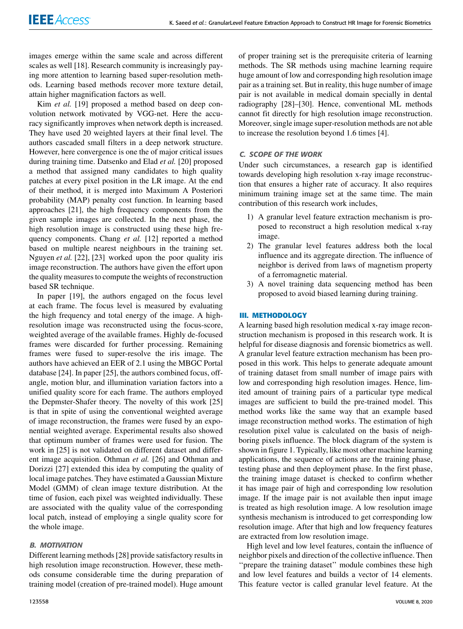images emerge within the same scale and across different scales as well [18]. Research community is increasingly paying more attention to learning based super-resolution methods. Learning based methods recover more texture detail, attain higher magnification factors as well.

Kim *et al.* [19] proposed a method based on deep convolution network motivated by VGG-net. Here the accuracy significantly improves when network depth is increased. They have used 20 weighted layers at their final level. The authors cascaded small filters in a deep network structure. However, here convergence is one the of major critical issues during training time. Datsenko and Elad *et al.* [20] proposed a method that assigned many candidates to high quality patches at every pixel position in the LR image. At the end of their method, it is merged into Maximum A Posteriori probability (MAP) penalty cost function. In learning based approaches [21], the high frequency components from the given sample images are collected. In the next phase, the high resolution image is constructed using these high frequency components. Chang *et al.* [12] reported a method based on multiple nearest neighbours in the training set. Nguyen *et al.* [22], [23] worked upon the poor quality iris image reconstruction. The authors have given the effort upon the quality measures to compute the weights of reconstruction based SR technique.

In paper [19], the authors engaged on the focus level at each frame. The focus level is measured by evaluating the high frequency and total energy of the image. A highresolution image was reconstructed using the focus-score, weighted average of the available frames. Highly de-focused frames were discarded for further processing. Remaining frames were fused to super-resolve the iris image. The authors have achieved an EER of 2.1 using the MBGC Portal database [24]. In paper [25], the authors combined focus, offangle, motion blur, and illumination variation factors into a unified quality score for each frame. The authors employed the Depmster-Shafer theory. The novelty of this work [25] is that in spite of using the conventional weighted average of image reconstruction, the frames were fused by an exponential weighted average. Experimental results also showed that optimum number of frames were used for fusion. The work in [25] is not validated on different dataset and different image acquisition. Othman *et al.* [26] and Othman and Dorizzi [27] extended this idea by computing the quality of local image patches. They have estimated a Gaussian Mixture Model (GMM) of clean image texture distribution. At the time of fusion, each pixel was weighted individually. These are associated with the quality value of the corresponding local patch, instead of employing a single quality score for the whole image.

# B. MOTIVATION

Different learning methods [28] provide satisfactory results in high resolution image reconstruction. However, these methods consume considerable time the during preparation of training model (creation of pre-trained model). Huge amount of proper training set is the prerequisite criteria of learning methods. The SR methods using machine learning require huge amount of low and corresponding high resolution image pair as a training set. But in reality, this huge number of image pair is not available in medical domain specially in dental radiography [28]–[30]. Hence, conventional ML methods cannot fit directly for high resolution image reconstruction. Moreover, single image super-resolution methods are not able to increase the resolution beyond 1.6 times [4].

# C. SCOPE OF THE WORK

Under such circumstances, a research gap is identified towards developing high resolution x-ray image reconstruction that ensures a higher rate of accuracy. It also requires minimum training image set at the same time. The main contribution of this research work includes,

- 1) A granular level feature extraction mechanism is proposed to reconstruct a high resolution medical x-ray image.
- 2) The granular level features address both the local influence and its aggregate direction. The influence of neighbor is derived from laws of magnetism property of a ferromagnetic material.
- 3) A novel training data sequencing method has been proposed to avoid biased learning during training.

# **III. METHODOLOGY**

A learning based high resolution medical x-ray image reconstruction mechanism is proposed in this research work. It is helpful for disease diagnosis and forensic biometrics as well. A granular level feature extraction mechanism has been proposed in this work. This helps to generate adequate amount of training dataset from small number of image pairs with low and corresponding high resolution images. Hence, limited amount of training pairs of a particular type medical images are sufficient to build the pre-trained model. This method works like the same way that an example based image reconstruction method works. The estimation of high resolution pixel value is calculated on the basis of neighboring pixels influence. The block diagram of the system is shown in figure 1. Typically, like most other machine learning applications, the sequence of actions are the training phase, testing phase and then deployment phase. In the first phase, the training image dataset is checked to confirm whether it has image pair of high and corresponding low resolution image. If the image pair is not available then input image is treated as high resolution image. A low resolution image synthesis mechanism is introduced to get corresponding low resolution image. After that high and low frequency features are extracted from low resolution image.

High level and low level features, contain the influence of neighbor pixels and direction of the collective influence. Then "prepare the training dataset" module combines these high and low level features and builds a vector of 14 elements. This feature vector is called granular level feature. At the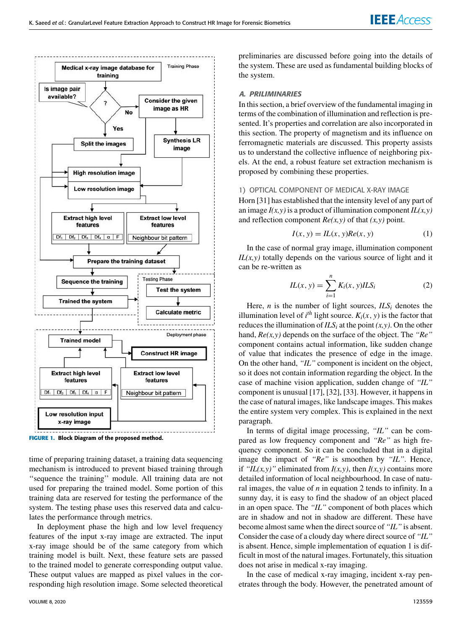

**FIGURE 1.** Block Diagram of the proposed method.

time of preparing training dataset, a training data sequencing mechanism is introduced to prevent biased training through "sequence the training" module. All training data are not used for preparing the trained model. Some portion of this training data are reserved for testing the performance of the system. The testing phase uses this reserved data and calculates the performance through metrics.

In deployment phase the high and low level frequency features of the input x-ray image are extracted. The input x-ray image should be of the same category from which training model is built. Next, these feature sets are passed to the trained model to generate corresponding output value. These output values are mapped as pixel values in the corresponding high resolution image. Some selected theoretical preliminaries are discussed before going into the details of the system. These are used as fundamental building blocks of the system.

#### A. PRILIMINARIES

In this section, a brief overview of the fundamental imaging in terms of the combination of illumination and reflection is presented. It's properties and correlation are also incorporated in this section. The property of magnetism and its influence on ferromagnetic materials are discussed. This property assists us to understand the collective influence of neighboring pixels. At the end, a robust feature set extraction mechanism is proposed by combining these properties.

#### 1) OPTICAL COMPONENT OF MEDICAL X-RAY IMAGE

Horn [31] has established that the intensity level of any part of an image  $I(x, y)$  is a product of illumination component  $IL(x, y)$ and reflection component  $Re(x, y)$  of that  $(x, y)$  point.

$$
I(x, y) = IL(x, y)Re(x, y)
$$
 (1)

In the case of normal gray image, illumination component  $IL(x, y)$  totally depends on the various source of light and it can be re-written as

$$
IL(x, y) = \sum_{i=1}^{n} K_i(x, y) ILS_i
$$
 (2)

Here, *n* is the number of light sources,  $ILS_i$  denotes the illumination level of  $i^{th}$  light source.  $K_i(x, y)$  is the factor that reduces the illumination of *ILS<sup>i</sup>* at the point *(x,y)*. On the other hand, *Re(x,y)* depends on the surface of the object. The *''Re''* component contains actual information, like sudden change of value that indicates the presence of edge in the image. On the other hand, *''IL''* component is incident on the object, so it does not contain information regarding the object. In the case of machine vision application, sudden change of *''IL''* component is unusual [17], [32], [33]. However, it happens in the case of natural images, like landscape images. This makes the entire system very complex. This is explained in the next paragraph.

In terms of digital image processing, *''IL''* can be compared as low frequency component and *''Re''* as high frequency component. So it can be concluded that in a digital image the impact of *''Re''* is smoothen by *''IL''*. Hence, if *''IL(x,y)''* eliminated from  $I(x,y)$ , then  $I(x,y)$  contains more detailed information of local neighbourhood. In case of natural images, the value of *n* in equation 2 tends to infinity. In a sunny day, it is easy to find the shadow of an object placed in an open space. The *''IL''* component of both places which are in shadow and not in shadow are different. These have become almost same when the direct source of *''IL''* is absent. Consider the case of a cloudy day where direct source of *''IL''* is absent. Hence, simple implementation of equation 1 is difficult in most of the natural images. Fortunately, this situation does not arise in medical x-ray imaging.

In the case of medical x-ray imaging, incident x-ray penetrates through the body. However, the penetrated amount of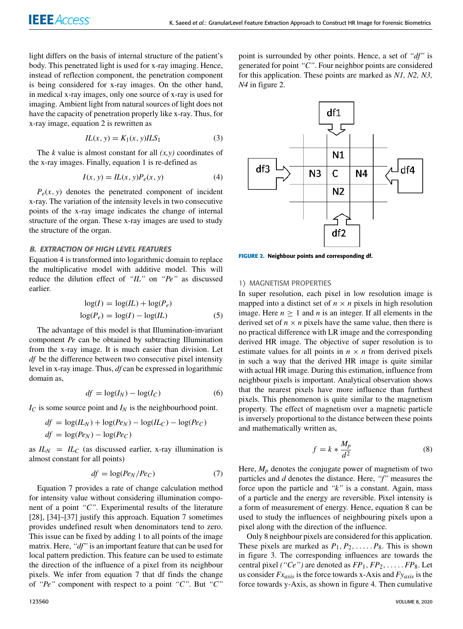light differs on the basis of internal structure of the patient's body. This penetrated light is used for x-ray imaging. Hence, instead of reflection component, the penetration component is being considered for x-ray images. On the other hand, in medical x-ray images, only one source of x-ray is used for imaging. Ambient light from natural sources of light does not have the capacity of penetration properly like x-ray. Thus, for x-ray image, equation 2 is rewritten as

$$
IL(x, y) = K_1(x, y)ILS_1
$$
\n(3)

The *k* value is almost constant for all *(x,y)* coordinates of the x-ray images. Finally, equation 1 is re-defined as

$$
I(x, y) = IL(x, y)P_e(x, y)
$$
\n<sup>(4)</sup>

 $P_e(x, y)$  denotes the penetrated component of incident x-ray. The variation of the intensity levels in two consecutive points of the x-ray image indicates the change of internal structure of the organ. These x-ray images are used to study the structure of the organ.

#### B. EXTRACTION OF HIGH LEVEL FEATURES

Equation 4 is transformed into logarithmic domain to replace the multiplicative model with additive model. This will reduce the dilution effect of *''IL''* on *''Pe''* as discussed earlier.

$$
log(I) = log(IL) + log(P_e)
$$
  

$$
log(P_e) = log(I) - log(IL)
$$
 (5)

The advantage of this model is that Illumination-invariant component *Pe* can be obtained by subtracting Illumination from the x-ray image. It is much easier than division. Let *df* be the difference between two consecutive pixel intensity level in x-ray image. Thus, *df* can be expressed in logarithmic domain as,

$$
df = \log(I_N) - \log(I_C) \tag{6}
$$

 $I_C$  is some source point and  $I_N$  is the neighbourhood point.

$$
df = \log(IL_N) + \log(Pe_N) - \log(IL_C) - \log(Pe_C)
$$
  

$$
df = \log(Pe_N) - \log(Pe_C)
$$

as  $IL_N = IL_C$  (as discussed earlier, x-ray illumination is almost constant for all points)

$$
df = \log(Pe_N/Pe_C) \tag{7}
$$

Equation 7 provides a rate of change calculation method for intensity value without considering illumination component of a point *''C''*. Experimental results of the literature [28], [34]–[37] justify this approach. Equation 7 sometimes provides undefined result when denominators tend to zero. This issue can be fixed by adding 1 to all points of the image matrix. Here, *''df''* is an important feature that can be used for local pattern prediction. This feature can be used to estimate the direction of the influence of a pixel from its neighbour pixels. We infer from equation 7 that df finds the change of *''Pe''* component with respect to a point *''C''*. But *''C''*

point is surrounded by other points. Hence, a set of *''df''* is generated for point *''C''*. Four neighbor points are considered for this application. These points are marked as *N1, N2, N3, N4* in figure 2.



**FIGURE 2.** Neighbour points and corresponding df.

#### 1) MAGNETISM PROPERTIES

In super resolution, each pixel in low resolution image is mapped into a distinct set of  $n \times n$  pixels in high resolution image. Here  $n \geq 1$  and *n* is an integer. If all elements in the derived set of  $n \times n$  pixels have the same value, then there is no practical difference with LR image and the corresponding derived HR image. The objective of super resolution is to estimate values for all points in  $n \times n$  from derived pixels in such a way that the derived HR image is quite similar with actual HR image. During this estimation, influence from neighbour pixels is important. Analytical observation shows that the nearest pixels have more influence than furthest pixels. This phenomenon is quite similar to the magnetism property. The effect of magnetism over a magnetic particle is inversely proportional to the distance between these points and mathematically written as,

$$
f = k * \frac{M_p}{d^2} \tag{8}
$$

Here,  $M_p$  denotes the conjugate power of magnetism of two particles and *d* denotes the distance. Here, *''f''* measures the force upon the particle and *''k''* is a constant. Again, mass of a particle and the energy are reversible. Pixel intensity is a form of measurement of energy. Hence, equation 8 can be used to study the influences of neighbouring pixels upon a pixel along with the direction of the influence.

Only 8 neighbour pixels are considered for this application. These pixels are marked as  $P_1, P_2, \ldots, P_8$ . This is shown in figure 3. The corresponding influences are towards the central pixel *("Ce")* are denoted as  $FP_1, FP_2, \ldots, FP_8$ . Let us consider *Fxaxis* is the force towards x-Axis and *Fyaxis* is the force towards y-Axis, as shown in figure 4. Then cumulative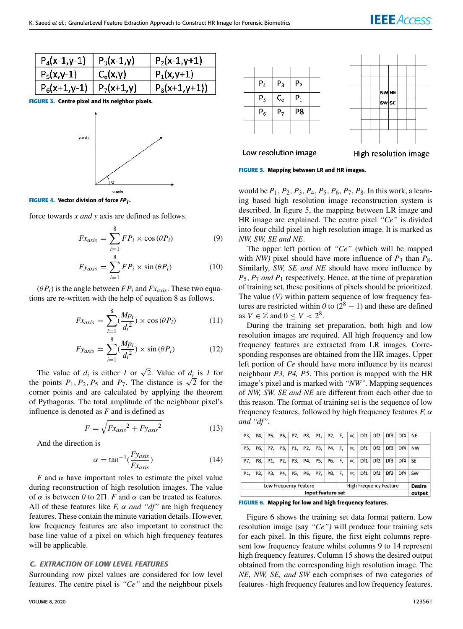| $P_4(x-1,y-1)$ | $P_3(x-1,y)$ | $P_2(x-1,y+1)$ |
|----------------|--------------|----------------|
| $P_5(x,y-1)$   | $C_e(x,y)$   | $P_1(x,y+1)$   |
| $P_6(x+1,y-1)$ | $P_7(x+1,y)$ | $P_8(x+1,y+1)$ |

**FIGURE 3.** Centre pixel and its neighbor pixels.



**FIGURE 4. Vector division of force FP**<sub>i</sub>.

force towards *x and y* axis are defined as follows.

$$
Fx_{axis} = \sum_{i=1}^{8} FP_i \times \cos(\theta P_i)
$$
 (9)

$$
F_{\text{Yaxis}} = \sum_{i=1}^{8} FP_i \times \sin(\theta P_i) \tag{10}
$$

 $(\theta P_i)$  is the angle between  $FP_i$  and  $Fx_{axis}$ . These two equations are re-written with the help of equation 8 as follows.

$$
Fx_{axis} = \sum_{i=1}^{8} \left(\frac{Mp_i}{d_i^2}\right) \times \cos\left(\theta P_i\right) \tag{11}
$$

$$
F_{\text{Yaxis}} = \sum_{i=1}^{8} \left( \frac{M p_i}{d_i^2} \right) \times \sin \left( \theta P_i \right) \tag{12}
$$

The value of  $d_i$  is either *1* or  $\sqrt{2}$ . Value of  $d_i$  is *1* for the points  $P_1$ ,  $P_2$ ,  $P_5$  and  $P_7$ . The distance is  $\sqrt{2}$  for the corner points and are calculated by applying the theorem of Pythagoras. The total amplitude of the neighbour pixel's influence is denoted as *F* and is defined as

$$
F = \sqrt{F x_{axis}^2 + F y_{axis}^2}
$$
 (13)

And the direction is

$$
\alpha = \tan^{-1}(\frac{F_{y\alpha xis}}{Fx_{\alpha xis}})
$$
\n(14)

*F* and  $\alpha$  have important roles to estimate the pixel value during reconstruction of high resolution images. The value of  $\alpha$  is between 0 to 2 $\Pi$ . *F* and  $\alpha$  can be treated as features. All of these features like  $F$ ,  $\alpha$  *and "df"* are high frequency features. These contain the minute variation details. However, low frequency features are also important to construct the base line value of a pixel on which high frequency features will be applicable.

# C. EXTRACTION OF LOW LEVEL FEATURES

Surrounding row pixel values are considered for low level features. The centre pixel is *''Ce''* and the neighbour pixels



**FIGURE 5.** Mapping between LR and HR images.

would be *P*1, *P*2, *P*3, *P*4, *P*5, *P*6, *P*7, *P*8. In this work, a learning based high resolution image reconstruction system is described. In figure 5, the mapping between LR image and HR image are explained. The centre pixel *''Ce''* is divided into four child pixel in high resolution image. It is marked as *NW, SW, SE and NE*.

The upper left portion of *''Ce''* (which will be mapped with *NW*) pixel should have more influence of  $P_3$  than  $P_8$ . Similarly, *SW, SE and NE* should have more influence by *P*5, *P*<sup>7</sup> *and P*<sup>1</sup> respectively. Hence, at the time of preparation of training set, these positions of pixels should be prioritized. The value *(V)* within pattern sequence of low frequency features are restricted within  $0$  to  $(2^8 - 1)$  and these are defined as  $V \in \mathbb{Z}$  and  $0 \leq V < 2^8$ .

During the training set preparation, both high and low resolution images are required. All high frequency and low frequency features are extracted from LR images. Corresponding responses are obtained from the HR images. Upper left portion of *Ce* should have more influence by its nearest neighbour *P3, P4, P5*. This portion is mapped with the HR image's pixel and is marked with *''NW''*. Mapping sequences of *NW, SW, SE and NE* are different from each other due to this reason. The format of training set is the sequence of low frequency features, followed by high frequency features *F,* α *and ''df''*.

|                                                        | Input feature set |     |                |     |     |     |               | output |           |     |                 |     |     |           |
|--------------------------------------------------------|-------------------|-----|----------------|-----|-----|-----|---------------|--------|-----------|-----|-----------------|-----|-----|-----------|
| Low Frequency Feature<br><b>High Frequency Feature</b> |                   |     |                |     |     |     | <b>Desire</b> |        |           |     |                 |     |     |           |
| P1,                                                    | P <sub>2</sub>    | P3, | P4,            | P5, | P6, | P7, | P8,           | F,     | α,        | Df1 | Df <sub>2</sub> | Df3 | Df4 | SW        |
| P7.                                                    | P8,               | P1. | P <sub>2</sub> | P3, | P4, | P5, | P6,           | F,     | $\propto$ | Df1 | Df <sub>2</sub> | Df3 | Df4 | <b>SE</b> |
| P5.                                                    | P6.               | P7, | P8,            | P1, | P2. | P3, | P4,           | F,     | $\propto$ | Df1 | Df <sub>2</sub> | Df3 | Df4 | <b>NW</b> |
| P3,                                                    | P4.               | P5, | P6.            | P7, | P8, | P1, | P2,           | F,     | $\propto$ | Df1 | Df <sub>2</sub> | Df3 | Df4 | <b>NE</b> |

**FIGURE 6.** Mapping for low and high frequency features.

Figure 6 shows the training set data format pattern. Low resolution image (say *''Ce'')* will produce four training sets for each pixel. In this figure, the first eight columns represent low frequency feature whilst columns 9 to 14 represent high frequency features. Column 15 shows the desired output obtained from the corresponding high resolution image. The *NE, NW, SE, and SW* each comprises of two categories of features - high frequency features and low frequency features.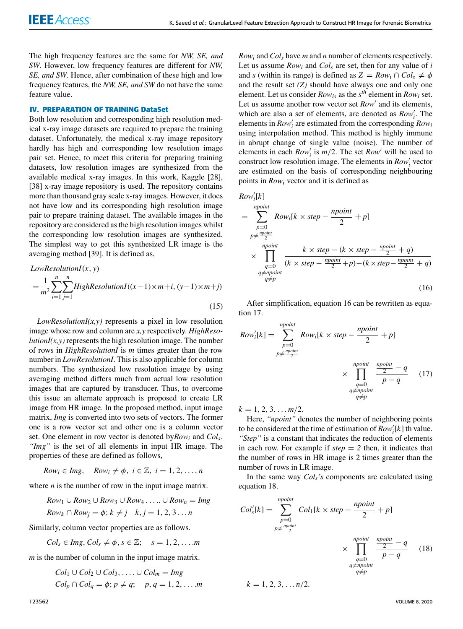The high frequency features are the same for *NW, SE, and SW*. However, low frequency features are different for *NW, SE, and SW*. Hence, after combination of these high and low frequency features, the *NW, SE, and SW* do not have the same feature value.

# **IV. PREPARATION OF TRAINING DataSet**

Both low resolution and corresponding high resolution medical x-ray image datasets are required to prepare the training dataset. Unfortunately, the medical x-ray image repository hardly has high and corresponding low resolution image pair set. Hence, to meet this criteria for preparing training datasets, low resolution images are synthesized from the available medical x-ray images. In this work, Kaggle [28], [38] x-ray image repository is used. The repository contains more than thousand gray scale x-ray images. However, it does not have low and its corresponding high resolution image pair to prepare training dataset. The available images in the repository are considered as the high resolution images whilst the corresponding low resolution images are synthesized. The simplest way to get this synthesized LR image is the averaging method [39]. It is defined as,

LowResolution
$$
I(x, y)
$$
  
= 
$$
\frac{1}{m^2} \sum_{i=1}^{n} \sum_{j=1}^{n} HighResolutionI((x-1) \times m+i, (y-1) \times m+j)
$$
(15)

 $LowResolutionI(x, y)$  represents a pixel in low resolution image whose row and column are *x,y* respectively. *HighResolutionI(x,y)* represents the high resolution image. The number of rows in *HighResolutionI* is *m* times greater than the row number in *LowResolutionI*. This is also applicable for column numbers. The synthesized low resolution image by using averaging method differs much from actual low resolution images that are captured by transducer. Thus, to overcome this issue an alternate approach is proposed to create LR image from HR image. In the proposed method, input image matrix, *Img* is converted into two sets of vectors. The former one is a row vector set and other one is a column vector set. One element in row vector is denoted by*Row<sup>i</sup>* and *Col<sup>s</sup>* . *''Img''* is the set of all elements in input HR image. The properties of these are defined as follows,

 $Row_i \in Img$ ,  $Row_i \neq \phi$ ,  $i \in \mathbb{Z}$ ,  $i = 1, 2, ..., n$ 

where  $n$  is the number of row in the input image matrix.

 $Row_1$  ∪  $Row_2$  ∪  $Row_3$  ∪  $Row_4$  . . . .. ∪  $Row_n = Img$  $Row_k \cap Row_j = \phi$ ;  $k \neq j \quad k, j = 1, 2, 3...$ *n* 

Similarly, column vector properties are as follows.

$$
Col_s \in Img, Col_s \neq \phi, s \in \mathbb{Z}; \quad s = 1, 2, \dots m
$$

*m* is the number of column in the input image matrix.

$$
Col1 \cup Col2 \cup Col3, \dots \cup Colm = Img
$$
  

$$
Colp \cap Colq = \phi; p \neq q; \quad p, q = 1, 2, \dots m
$$

*Row<sup>i</sup>* and *Col<sup>s</sup>* have *m* and *n* number of elements respectively. Let us assume  $Row_i$  and  $Col_s$  are set, then for any value of *i* and *s* (within its range) is defined as  $Z = Row_i \cap Col_s \neq \emptyset$ and the result set *(Z)* should have always one and only one element. Let us consider  $Row_{is}$  as the  $s^{th}$  element in  $Row_i$  set. Let us assume another row vector set *Row*′ and its elements, which are also a set of elements, are denoted as *Row*′ *i* . The elements in *Row*′ *i* are estimated from the corresponding *Row<sup>i</sup>* using interpolation method. This method is highly immune in abrupt change of single value (noise). The number of elements in each *Row*′ *i* is *m*/2. The set *Row*′ will be used to construct low resolution image. The elements in *Row*′ *i* vector are estimated on the basis of corresponding neighbouring points in *Row<sup>i</sup>* vector and it is defined as

 $Row'_i[k]$ 

$$
= \sum_{\substack{p=0 \ p \neq \frac{npoint}{2} \\ q \neq npoint}} \text{Row}_{i}[k \times \text{step} - \frac{npoint}{2} + p] \times \prod_{\substack{q=0 \ q \neq npoint}} \frac{k \times \text{step} - (k \times \text{step} - \frac{npoint}{2} + q)}{(k \times \text{step} - \frac{npoint}{2} + p) - (k \times \text{step} - \frac{npoint}{2} + q)} \times \prod_{\substack{q \neq npoint \\ q \neq p}} \frac{k \times \text{step} - \frac{npoint}{2} + p}{(16)}
$$

After simplification, equation 16 can be rewritten as equation 17.

$$
Row'_{i}[k] = \sum_{p=0}^{npoint} Row_{i}[k \times step - \frac{npoint}{2} + p]
$$
  

$$
\times \prod_{\substack{q=0 \ q \neq npoint}}^{npoint} \frac{mpoint}{2} - q
$$
 (17)

 $k = 1, 2, 3, \ldots m/2.$ 

Here, *''npoint''* denotes the number of neighboring points to be considered at the time of estimation of  $Row'_i[k]$  th value. *''Step''* is a constant that indicates the reduction of elements in each row. For example if  $step = 2$  then, it indicates that the number of rows in HR image is 2 times greater than the number of rows in LR image.

In the same way *Cols's* components are calculated using equation 18.

$$
Col_s'[k] = \sum_{\substack{p=0 \ p \neq \frac{npoint}{2}}}^{npoint} Col_1[k \times step - \frac{npoint}{2} + p]
$$
  

$$
\times \prod_{\substack{q=0 \ q \neq npoint}}^{npoint} \frac{npoint}{2} - q
$$
(18)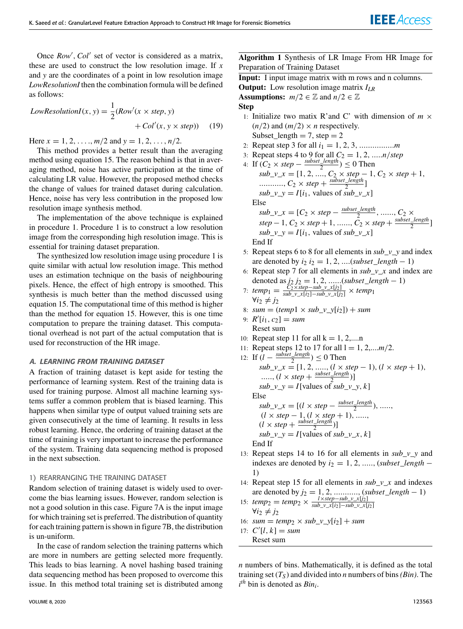Once *Row*′ ,*Col*′ set of vector is considered as a matrix, these are used to construct the low resolution image. If *x* and *y* are the coordinates of a point in low resolution image *LowResolutionI* then the combination formula will be defined as follows:

LowResolution
$$
I(x, y) = \frac{1}{2}(Row'(x \times step, y) + Col'(x, y \times step))
$$
 (19)

Here  $x = 1, 2, \ldots, m/2$  and  $y = 1, 2, \ldots, n/2$ .

This method provides a better result than the averaging method using equation 15. The reason behind is that in averaging method, noise has active participation at the time of calculating LR value. However, the proposed method checks the change of values for trained dataset during calculation. Hence, noise has very less contribution in the proposed low resolution image synthesis method.

The implementation of the above technique is explained in procedure 1. Procedure 1 is to construct a low resolution image from the corresponding high resolution image. This is essential for training dataset preparation.

The synthesized low resolution image using procedure 1 is quite similar with actual low resolution image. This method uses an estimation technique on the basis of neighbouring pixels. Hence, the effect of high entropy is smoothed. This synthesis is much better than the method discussed using equation 15. The computational time of this method is higher than the method for equation 15. However, this is one time computation to prepare the training dataset. This computational overhead is not part of the actual computation that is used for reconstruction of the HR image.

#### A. LEARNING FROM TRAINING DATASET

A fraction of training dataset is kept aside for testing the performance of learning system. Rest of the training data is used for training purpose. Almost all machine learning systems suffer a common problem that is biased learning. This happens when similar type of output valued training sets are given consecutively at the time of learning. It results in less robust learning. Hence, the ordering of training dataset at the time of training is very important to increase the performance of the system. Training data sequencing method is proposed in the next subsection.

#### 1) REARRANGING THE TRAINING DATASET

Random selection of training dataset is widely used to overcome the bias learning issues. However, random selection is not a good solution in this case. Figure 7A is the input image for which training set is preferred. The distribution of quantity for each training pattern is shown in figure 7B, the distribution is un-uniform.

In the case of random selection the training patterns which are more in numbers are getting selected more frequently. This leads to bias learning. A novel hashing based training data sequencing method has been proposed to overcome this issue. In this method total training set is distributed among **Algorithm 1** Synthesis of LR Image From HR Image for Preparation of Training Dataset

**Input:** I input image matrix with m rows and n columns. **Output:** Low resolution image matrix *ILR*

**Assumptions:**  $m/2 \in \mathbb{Z}$  and  $n/2 \in \mathbb{Z}$ 

#### **Step**

- 1: Initialize two matix R'and C' with dimension of  $m \times$  $(n/2)$  and  $(m/2) \times n$  respectively. Subset\_length  $= 7$ , step  $= 2$
- 2: Repeat step 3 for all  $i_1 = 1, 2, 3, \dots, i_m$
- 3: Repeat steps 4 to 9 for all  $C_2 = 1, 2, \dots n/step$ 4: If  $(C_2 \times step - \frac{subset\_length}{2}$  $\frac{1}{2}^{length}$ )  $\leq 0$  Then  $sub\_v\_x$  = [1, 2, ...,  $C_2 \times step - 1$ ,  $C_2 \times step + 1$ ,  $\ldots$ ,  $C_2 \times \text{step} + \frac{\text{subset\_length}}{2}$  $\frac{1}{2}$  [engin]  $sub\_v\_y = I[i_1, \text{ values of } sub\_v\_x]$ Else *subset*\_*length*

$$
sub_v x = [C_2 \times step - \frac{subset_{length}}{2}, \dots, C_2 \times
$$
  
\n
$$
step - 1, C_2 \times step + 1, \dots, C_2 \times step + \frac{subset_{length}}{2}]
$$
  
\n
$$
sub_v y = I[i_1, \text{ values of } sub_v x]
$$
  
\nEnd If

- 5: Repeat steps 6 to 8 for all elements in *sub*\_*v*\_*y* and index are denoted by  $i_2$   $i_2$  = 1, 2, ....(*subset*\_*length* – 1)
- 6: Repeat step 7 for all elements in  $sub_v x$  and index are denoted as  $j_2 j_2 = 1, 2, \ldots$ ....(*subset*\_*length* − 1)

7: 
$$
temp_1 = \frac{\overline{C_2} \times step - sub\_v\_x[j_2]}{sub\_v\_x[i_2] - sub\_v\_x[j_2]} \times temp_1
$$
  
\n $\forall i_2 \neq j_2$ 

- 8:  $sum = (temp1 \times sub_v[y][i_2]) + sum$
- 9:  $R'[i_1, c_2] = \text{sum}$ Reset sum
- 10: Repeat step 11 for all  $k = 1, 2, \dots n$
- 11: Repeat steps 12 to 17 for all  $l = 1, 2, \ldots m/2$ .
- 12: If  $(l \frac{subset \t length}{2}$  $\frac{1}{2}$  engin  $\geq 0$  Then  $sub\_v\_x$  = [1, 2, ....., ( $l \times step - 1$ ), ( $l \times step + 1$ ),  $\frac{1}{l} \times step + \frac{subset\_length}{2}$  $\frac{1}{2}$  (engin)]  $sub\_v\_y = I$ [values of  $sub\_v\_y$ , *k*] Else  $sub\_v\_x$  =  $[(l \times step - \frac{subset\_length}{2})]$  $\frac{1 \text{ length}}{2}$ ), .....,  $(l \times step - 1, (l \times step + 1), \dots,$  $(l \times step + \frac{subset\_length}{2})$  $\frac{1}{2}$ [engin]  $sub\_v\_y = I$ [values of  $sub\_v\_x$ , *k*] End If
- 13: Repeat steps 14 to 16 for all elements in *sub*\_*v*\_*y* and indexes are denoted by  $i_2 = 1, 2, \ldots$ , (*subset*\_*length* − 1)
- 14: Repeat step 15 for all elements in *sub*\_*v*\_*x* and indexes are denoted by  $j_2 = 1, 2, \dots, (subset \mathcal{L}$ <br> $\{x_{step}\}$  *l*  $\{x_{step}\}$  *x*  $\{y_{step}\}$  *x*  $\{y_{step}\}$
- 15:  $temp_2 = temp_2 \times \frac{l \times step sub\_v\_x[j_2]}{sub\_v\_x[i_2] sub\_v\_x[j]}$ *sub*\_*v*\_*x*[*i*2]−*sub*\_*v*\_*x*[*j*2]  $∀i<sub>2</sub> ≠ j<sub>2</sub>$
- 16:  $sum = temp_2 \times sub_v[y[i_2] + sum$
- 17:  $C'[l, k] = \text{sum}$ Reset sum

*n* numbers of bins. Mathematically, it is defined as the total training set (*T<sup>S</sup>* ) and divided into *n* numbers of bins*(Bin)*. The *i th* bin is denoted as *Bin<sup>i</sup>* .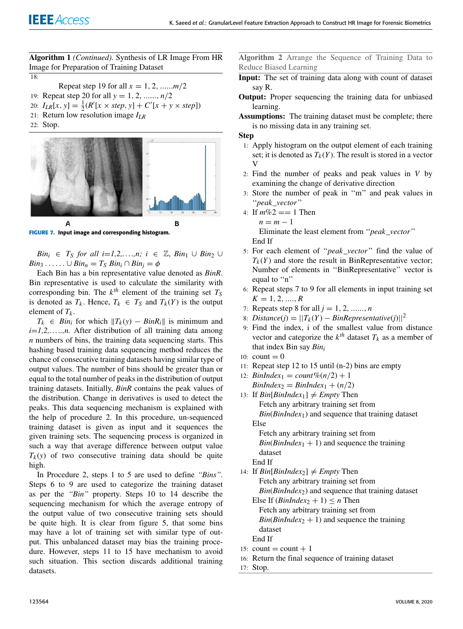**Algorithm 1** *(Continued).* Synthesis of LR Image From HR Image for Preparation of Training Dataset

18:

Repeat step 19 for all  $x = 1, 2, \dots, m/2$ 19: Repeat step 20 for all *y* = 1, 2, ......, *n*/2

- 20:  $I_{LR}[x, y] = \frac{1}{2}(R'[x \times step, y] + C'[x + y \times step])$
- 21: Return low resolution image *ILR*

22: Stop.



**FIGURE 7.** Input image and corresponding histogram.

*Bin*<sub>*i*</sub> ∈ *T*<sub>*S*</sub> *for all i*=*1,2,....,n; i* ∈  $\mathbb{Z}$ *, Bin*<sub>1</sub> ∪ *Bin*<sub>2</sub> ∪  $Bin_3 \ldots \ldots \cup Bin_n = T_S Bin_i \cap Bin_j = \phi$ 

Each Bin has a bin representative value denoted as *BinR*. Bin representative is used to calculate the similarity with corresponding bin. The  $k^{th}$  element of the training set  $T_S$ is denoted as  $T_k$ . Hence,  $T_k \in T_S$  and  $T_k(Y)$  is the output element of  $T_k$ .

 $T_k$  ∈ *Bin<sub>i</sub>* for which  $\|T_k(y) - BinR_i\|$  is minimum and  $i=1,2,...,n$ . After distribution of all training data among *n* numbers of bins, the training data sequencing starts. This hashing based training data sequencing method reduces the chance of consecutive training datasets having similar type of output values. The number of bins should be greater than or equal to the total number of peaks in the distribution of output training datasets. Initially, *BinR* contains the peak values of the distribution. Change in derivatives is used to detect the peaks. This data sequencing mechanism is explained with the help of procedure 2. In this procedure, un-sequenced training dataset is given as input and it sequences the given training sets. The sequencing process is organized in such a way that average difference between output value  $T_k(y)$  of two consecutive training data should be quite high.

In Procedure 2, steps 1 to 5 are used to define *''Bins''*. Steps 6 to 9 are used to categorize the training dataset as per the *''Bin''* property. Steps 10 to 14 describe the sequencing mechanism for which the average entropy of the output value of two consecutive training sets should be quite high. It is clear from figure 5, that some bins may have a lot of training set with similar type of output. This unbalanced dataset may bias the training procedure. However, steps 11 to 15 have mechanism to avoid such situation. This section discards additional training datasets.

**Algorithm 2** Arrange the Sequence of Training Data to Reduce Biased Learning

- **Input:** The set of training data along with count of dataset say R.
- **Output:** Proper sequencing the training data for unbiased learning.
- **Assumptions:** The training dataset must be complete; there is no missing data in any training set.

#### **Step**

- 1: Apply histogram on the output element of each training set; it is denoted as  $T_k(Y)$ . The result is stored in a vector V
- 2: Find the number of peaks and peak values in *V* by examining the change of derivative direction
- 3: Store the number of peak in ''m'' and peak values in ''*peak*\_*vector*''
- 4: If  $m\%2 == 1$  Then
	- $n = m 1$

Eliminate the least element from ''*peak*\_*vector*'' End If

- 5: For each element of ''*peak*\_*vector*'' find the value of  $T_k(Y)$  and store the result in BinRepresentative vector; Number of elements in ''BinRepresentative'' vector is equal to "n"
- 6: Repeat steps 7 to 9 for all elements in input training set  $K = 1, 2, \dots, R$
- 7: Repeats step 8 for all  $j = 1, 2, ..., n$
- 8: *Distance*(*j*) =  $||T_k(Y) BinRepresentative(j)||^2$
- 9: Find the index, i of the smallest value from distance vector and categorize the  $k^{th}$  dataset  $T_k$  as a member of that index Bin say *Bin<sup>i</sup>*
- 10:  $count = 0$
- 11: Repeat step 12 to 15 until (n-2) bins are empty
- 12: *BinIndex*<sub>1</sub> = *count*  $\%$ (*n*/2) + 1  $BinIndex_2 = BinIndex_1 + (n/2)$
- 13: If  $Bin[BinIndex_1] \neq Empty$  Then Fetch any arbitrary training set from *Bin*(*BinIndex*1) and sequence that training dataset Else Fetch any arbitrary training set from

 $Bin(BinIndex_1 + 1)$  and sequence the training dataset End If

- 14: If  $Bin[BinIndex_2] \neq Empty$  Then
	- Fetch any arbitrary training set from
	- *Bin*(*BinIndex*2) and sequence that training dataset Else If  $(BinIndex_2 + 1) \leq n$  Then

Fetch any arbitrary training set from  $Bin(BinIndex_2 + 1)$  and sequence the training dataset

- End If
- 15:  $count = count + 1$
- 16: Return the final sequence of training dataset
- 17: Stop.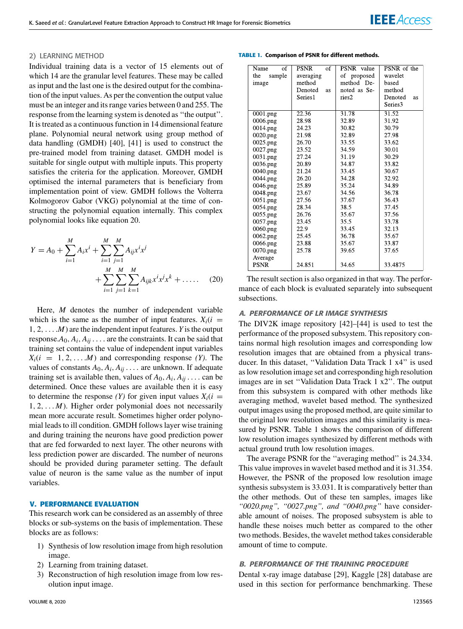#### 2) LEARNING METHOD

Individual training data is a vector of 15 elements out of which 14 are the granular level features. These may be called as input and the last one is the desired output for the combination of the input values. As per the convention the output value must be an integer and its range varies between 0 and 255. The response from the learning system is denoted as ''the output''. It is treated as a continuous function in 14 dimensional feature plane. Polynomial neural network using group method of data handling (GMDH) [40], [41] is used to construct the pre-trained model from training dataset. GMDH model is suitable for single output with multiple inputs. This property satisfies the criteria for the application. Moreover, GMDH optimised the internal parameters that is beneficiary from implementation point of view. GMDH follows the Volterra Kolmogorov Gabor (VKG) polynomial at the time of constructing the polynomial equation internally. This complex polynomial looks like equation 20.

$$
Y = A_0 + \sum_{i=1}^{M} A_i x^i + \sum_{i=1}^{M} \sum_{j=1}^{M} A_{ij} x^i x^j
$$
  
+ 
$$
\sum_{i=1}^{M} \sum_{j=1}^{M} \sum_{k=1}^{M} A_{ijk} x^i x^j x^k + \dots
$$
 (20)

Here, *M* denotes the number of independent variable which is the same as the number of input features.  $X_i(i =$ 1, 2, . . . .*M*) are the independent input features. *Y* is the output response. $A_0$ ,  $A_i$ ,  $A_{ij}$ ... are the constraints. It can be said that training set contains the value of independent input variables  $X_i(i = 1, 2, \dots M)$  and corresponding response *(Y)*. The values of constants  $A_0$ ,  $A_i$ ,  $A_{ij}$ .... are unknown. If adequate training set is available then, values of  $A_0, A_i, A_{ii}$ ... can be determined. Once these values are available then it is easy to determine the response *(Y)* for given input values  $X_i(i)$  $1, 2, \ldots, M$ ). Higher order polymonial does not necessarily mean more accurate result. Sometimes higher order polynomial leads to ill condition. GMDH follows layer wise training and during training the neurons have good prediction power that are fed forwarded to next layer. The other neurons with less prediction power are discarded. The number of neurons should be provided during parameter setting. The default value of neuron is the same value as the number of input variables.

# **V. PERFORMANCE EVALUATION**

This research work can be considered as an assembly of three blocks or sub-systems on the basis of implementation. These blocks are as follows:

- 1) Synthesis of low resolution image from high resolution image.
- 2) Learning from training dataset.
- 3) Reconstruction of high resolution image from low resolution input image.

|  | <b>TABLE 1. Comparison of PSNR for different methods.</b> |  |  |  |
|--|-----------------------------------------------------------|--|--|--|
|--|-----------------------------------------------------------|--|--|--|

| $\sigma$ f<br>Name     | <b>PSNR</b><br>$\sigma$ f | PSNR value   | PSNR of the   |
|------------------------|---------------------------|--------------|---------------|
| the<br>sample          | averaging                 | of proposed  | wavelet       |
| image                  | method                    | method De-   | based         |
|                        | Denoted<br>as             | noted as Se- | method        |
|                        | Series1                   | ries2        | Denoted<br>as |
|                        |                           |              | Series3       |
| $\overline{0001}$ .png | 22.36                     | 31.78        | 31.52         |
| 0006.png               | 28.98                     | 32.89        | 31.92         |
| 0014.png               | 24.23                     | 30.82        | 30.79         |
| 0020.png               | 21.98                     | 32.89        | 27.98         |
| 0025.png               | 26.70                     | 33.55        | 33.62         |
| 0027.png               | 23.52                     | 34.59        | 30.01         |
| 0031.png               | 27.24                     | 31.19        | 30.29         |
| 0036.png               | 20.89                     | 34.87        | 33.82         |
| 0040.png               | 21.24                     | 33.45        | 30.67         |
| 0044.png               | 26.20                     | 34.28        | 32.92         |
| 0046.png               | 25.89                     | 35.24        | 34.89         |
| 0048.png               | 23.67                     | 34.56        | 36.78         |
| 0051.png               | 27.56                     | 37.67        | 36.43         |
| 0054.png               | 28.34                     | 38.5         | 37.45         |
| 0055.png               | 26.76                     | 35.67        | 37.56         |
| 0057.png               | 23.45                     | 35.5         | 33.78         |
| 0060.png               | 22.9                      | 33.45        | 32.13         |
| 0062.png               | 25.45                     | 36.78        | 35.67         |
| 0066.png               | 23.88                     | 35.67        | 33.87         |
| 0070.png               | 25.78                     | 39.65        | 37.65         |
| Average                |                           |              |               |
| <b>PSNR</b>            | 24.851                    | 34.65        | 33.4875       |

The result section is also organized in that way. The performance of each block is evaluated separately into subsequent subsections.

#### A. PERFORMANCE OF LR IMAGE SYNTHESIS

The DIV2K image repository [42]–[44] is used to test the performance of the proposed subsystem. This repository contains normal high resolution images and corresponding low resolution images that are obtained from a physical transducer. In this dataset, ''Validation Data Track 1 x4'' is used as low resolution image set and corresponding high resolution images are in set ''Validation Data Track 1 x2''. The output from this subsystem is compared with other methods like averaging method, wavelet based method. The synthesized output images using the proposed method, are quite similar to the original low resolution images and this similarity is measured by PSNR. Table 1 shows the comparison of different low resolution images synthesized by different methods with actual ground truth low resolution images.

The average PSNR for the ''averaging method'' is 24.334. This value improves in wavelet based method and it is 31.354. However, the PSNR of the proposed low resolution image synthesis subsystem is 33.031. It is comparatively better than the other methods. Out of these ten samples, images like *''0020.png'', ''0027.png'', and ''0040.png''* have considerable amount of noises. The proposed subsystem is able to handle these noises much better as compared to the other two methods. Besides, the wavelet method takes considerable amount of time to compute.

## B. PERFORMANCE OF THE TRAINING PROCEDURE

Dental x-ray image database [29], Kaggle [28] database are used in this section for performance benchmarking. These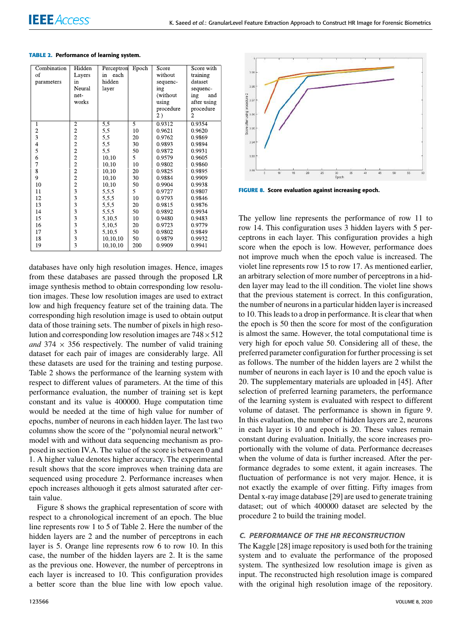| Combination    | Hidden                  | Perceptron | Epoch          | Score     | Score with  |
|----------------|-------------------------|------------|----------------|-----------|-------------|
| of             | Layers                  | each<br>in |                | without   | training    |
| parameters     | in                      | hidden     |                | sequenc-  | dataset     |
|                | Neural                  | layer      |                | ing       | sequenc-    |
|                | net-                    |            |                | (without) | ing<br>and  |
|                | works                   |            |                | using     | after using |
|                |                         |            |                | procedure | procedure   |
|                |                         |            |                | 2)        | 2           |
| 1              | $\overline{2}$          | 5,5        | $\overline{5}$ | 0.9312    | 0.9354      |
| $\overline{c}$ | $\frac{2}{2}$           | 5,5        | 10             | 0.9621    | 0.9620      |
| $\overline{3}$ |                         | 5,5        | 20             | 0.9762    | 0.9869      |
| $\overline{4}$ |                         | 5,5        | 30             | 0.9893    | 0.9894      |
| 5              | $\frac{2}{2}$           | 5,5        | 50             | 0.9872    | 0.9931      |
| 6              |                         | 10,10      | 5              | 0.9579    | 0.9605      |
| 7              | $\frac{2}{2}$           | 10,10      | 10             | 0.9802    | 0.9860      |
| 8              |                         | 10.10      | 20             | 0.9825    | 0.9895      |
| 9              |                         | 10,10      | 30             | 0.9884    | 0.9909      |
| 10             | $\frac{2}{3}$           | 10.10      | 50             | 0.9904    | 0.9938      |
| 11             |                         | 5,5,5      | 5              | 0.9727    | 0.9807      |
| 12             | $\overline{\mathbf{3}}$ | 5.5.5      | 10             | 0.9793    | 0.9846      |
| 13             | $\overline{\mathbf{3}}$ | 5,5,5      | 20             | 0.9815    | 0.9876      |
| 14             | $\overline{\mathbf{3}}$ | 5.5.5      | 50             | 0.9892    | 0.9934      |
| 15             | 3                       | 5,10,5     | 10             | 0.9480    | 0.9483      |
| 16             | 3                       | 5,10,5     | 20             | 0.9723    | 0.9779      |
| 17             | 3                       | 5,10,5     | 50             | 0.9802    | 0.9849      |
| 18             | 3                       | 10,10,10   | 50             | 0.9879    | 0.9932      |
| 19             | $\overline{3}$          | 10,10,10   | 200            | 0.9909    | 0.9941      |

#### **TABLE 2.** Performance of learning system.

databases have only high resolution images. Hence, images from these databases are passed through the proposed LR image synthesis method to obtain corresponding low resolution images. These low resolution images are used to extract low and high frequency feature set of the training data. The corresponding high resolution image is used to obtain output data of those training sets. The number of pixels in high resolution and corresponding low resolution images are  $748 \times 512$ *and* 374  $\times$  356 respectively. The number of valid training dataset for each pair of images are considerably large. All these datasets are used for the training and testing purpose. Table 2 shows the performance of the learning system with respect to different values of parameters. At the time of this performance evaluation, the number of training set is kept constant and its value is 400000. Huge computation time would be needed at the time of high value for number of epochs, number of neurons in each hidden layer. The last two columns show the score of the ''polynomial neural network'' model with and without data sequencing mechanism as proposed in section IV.A. The value of the score is between 0 and 1. A higher value denotes higher accuracy. The experimental result shows that the score improves when training data are sequenced using procedure 2. Performance increases when epoch increases althouogh it gets almost saturated after certain value.

Figure 8 shows the graphical representation of score with respect to a chronological increment of an epoch. The blue line represents row 1 to 5 of Table 2. Here the number of the hidden layers are 2 and the number of perceptrons in each layer is 5. Orange line represents row 6 to row 10. In this case, the number of the hidden layers are 2. It is the same as the previous one. However, the number of perceptrons in each layer is increased to 10. This configuration provides a better score than the blue line with low epoch value.



**FIGURE 8.** Score evaluation against increasing epoch.

The yellow line represents the performance of row 11 to row 14. This configuration uses 3 hidden layers with 5 perceptrons in each layer. This configuration provides a high score when the epoch is low. However, performance does not improve much when the epoch value is increased. The violet line represents row 15 to row 17. As mentioned earlier, an arbitrary selection of more number of perceptrons in a hidden layer may lead to the ill condition. The violet line shows that the previous statement is correct. In this configuration, the number of neurons in a particular hidden layer is increased to 10. This leads to a drop in performance. It is clear that when the epoch is 50 then the score for most of the configuration is almost the same. However, the total computational time is very high for epoch value 50. Considering all of these, the preferred parameter configuration for further processing is set as follows. The number of the hidden layers are 2 whilst the number of neurons in each layer is 10 and the epoch value is 20. The supplementary materials are uploaded in [45]. After selection of preferred learning parameters, the performance of the learning system is evaluated with respect to different volume of dataset. The performance is shown in figure 9. In this evaluation, the number of hidden layers are 2, neurons in each layer is 10 and epoch is 20. These values remain constant during evaluation. Initially, the score increases proportionally with the volume of data. Performance decreases when the volume of data is further increased. After the performance degrades to some extent, it again increases. The fluctuation of performance is not very major. Hence, it is not exactly the example of over fitting. Fifty images from Dental x-ray image database [29] are used to generate training dataset; out of which 400000 dataset are selected by the procedure 2 to build the training model.

#### C. PERFORMANCE OF THE HR RECONSTRUCTION

The Kaggle [28] image repository is used both for the training system and to evaluate the performance of the proposed system. The synthesized low resolution image is given as input. The reconstructed high resolution image is compared with the original high resolution image of the repository.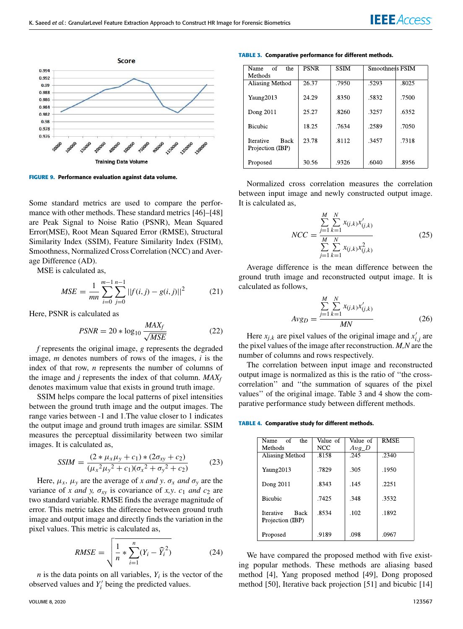

**FIGURE 9.** Performance evaluation against data volume.

Some standard metrics are used to compare the performance with other methods. These standard metrics [46]–[48] are Peak Signal to Noise Ratio (PSNR), Mean Squared Error(MSE), Root Mean Squared Error (RMSE), Structural Similarity Index (SSIM), Feature Similarity Index (FSIM), Smoothness, Normalized Cross Correlation (NCC) and Average Difference (AD).

MSE is calculated as,

$$
MSE = \frac{1}{mn} \sum_{i=0}^{m-1} \sum_{j=0}^{n-1} |f(i,j) - g(i,j)|^2
$$
 (21)

Here, PSNR is calculated as

$$
PSNR = 20 * \log_{10} \frac{MAX_f}{\sqrt{MSE}}
$$
 (22)

*f* represents the original image, *g* represents the degraded image, *m* denotes numbers of rows of the images, *i* is the index of that row, *n* represents the number of columns of the image and *j* represents the index of that column. *MAX<sup>f</sup>* denotes maximum value that exists in ground truth image.

SSIM helps compare the local patterns of pixel intensities between the ground truth image and the output images. The range varies between -1 and 1.The value closer to 1 indicates the output image and ground truth images are similar. SSIM measures the perceptual dissimilarity between two similar images. It is calculated as,

$$
SSIM = \frac{(2 * \mu_x \mu_y + c_1) * (2\sigma_{xy} + c_2)}{(\mu_x^2 \mu_y^2 + c_1)(\sigma_x^2 + \sigma_y^2 + c_2)}
$$
(23)

Here,  $\mu_x$ ,  $\mu_y$  are the average of *x and y*.  $\sigma_x$  *and*  $\sigma_y$  are the variance of *x and y,*  $\sigma_{xy}$  is covariance of *x,y.*  $c_1$  *and*  $c_2$  are two standard variable. RMSE finds the average magnitude of error. This metric takes the difference between ground truth image and output image and directly finds the variation in the pixel values. This metric is calculated as,

RMSE = 
$$
\sqrt{\frac{1}{n} * \sum_{i=1}^{n} (Y_i - \widehat{Y}_i^2)}
$$
 (24)

*n* is the data points on all variables,  $Y_i$  is the vector of the observed values and  $Y_i'$  being the predicted values.

|  | <b>TABLE 3. Comparative performance for different methods.</b> |  |  |  |  |
|--|----------------------------------------------------------------|--|--|--|--|
|--|----------------------------------------------------------------|--|--|--|--|

| of<br>the<br>Name                                   | <b>PSNR</b> | <b>SSIM</b> | Smoothness FSIM |       |
|-----------------------------------------------------|-------------|-------------|-----------------|-------|
| Methods                                             |             |             |                 |       |
| Aliasing Method                                     | 26.37       | .7950       | .5293           | .8025 |
| Yaung2013                                           | 24.29       | .8350       | .5832           | .7500 |
| Dong 2011                                           | 25.27       | .8260       | 3257            | .6352 |
| <b>Bicubic</b>                                      | 18.25       | .7634       | .2589           | .7050 |
| <b>Back</b><br><b>Iterative</b><br>Projection (IBP) | 23.78       | .8112       | .3457           | .7318 |
| Proposed                                            | 30.56       | .9326       | .6040           | .8956 |

Normalized cross correlation measures the correlation between input image and newly constructed output image. It is calculated as,

$$
NCC = \frac{\sum_{j=1}^{M} \sum_{k=1}^{N} x_{(j,k)} x'_{(j,k)}}{\sum_{j=1}^{M} \sum_{k=1}^{N} x_{(j,k)} x^2_{(j,k)}}
$$
(25)

Average difference is the mean difference between the ground truth image and reconstructed output image. It is calculated as follows,

$$
Avg_D = \frac{\sum_{j=1}^{M} \sum_{k=1}^{N} x_{(j,k)} x'_{(j,k)}}{MN}
$$
 (26)

Here  $x_{j,k}$  are pixel values of the original image and  $x'_{i,j}$  are the pixel values of the image after reconstruction. *M,N* are the number of columns and rows respectively.

The correlation between input image and reconstructed output image is normalized as this is the ratio of ''the crosscorrelation'' and ''the summation of squares of the pixel values'' of the original image. Table 3 and 4 show the comparative performance study between different methods.

**TABLE 4.** Comparative study for different methods.

| - of<br>the<br>Name                                 | Value of | Value of | <b>RMSE</b> |
|-----------------------------------------------------|----------|----------|-------------|
| Methods                                             | NCC      | $Avq\_D$ |             |
| Aliasing Method                                     | .8158    | .245     | .2340       |
| Yaung2013                                           | .7829    | .305     | .1950       |
| Dong 2011                                           | .8343    | $-145$   | .2251       |
| <b>Bicubic</b>                                      | .7425    | .348     | 3532        |
| <b>Iterative</b><br><b>Back</b><br>Projection (IBP) | .8534    | .102     | .1892       |
| Proposed                                            | .9189    | .098     | .0967       |

We have compared the proposed method with five existing popular methods. These methods are aliasing based method [4], Yang proposed method [49], Dong proposed method [50], Iterative back projection [51] and bicubic [14]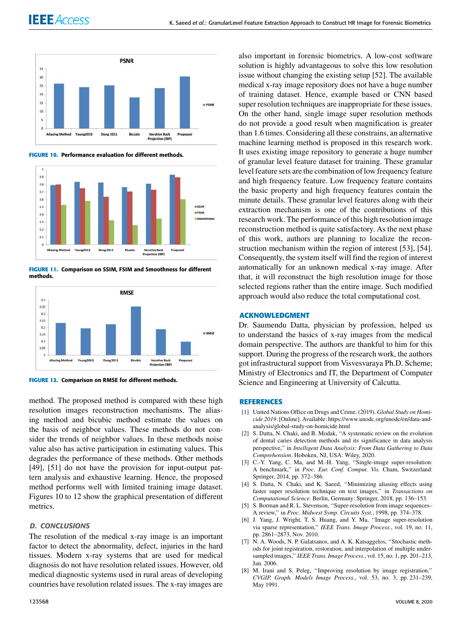

**FIGURE 10.** Performance evaluation for different methods.



**FIGURE 11.** Comparison on SSIM, FSIM and Smoothness for different methods.



**FIGURE 12.** Comparison on RMSE for different methods.

method. The proposed method is compared with these high resolution images reconstruction mechanisms. The aliasing method and bicubic method estimate the values on the basis of neighbor values. These methods do not consider the trends of neighbor values. In these methods noise value also has active participation in estimating values. This degrades the performance of these methods. Other methods [49], [51] do not have the provision for input-output pattern analysis and exhaustive learning. Hence, the proposed method performs well with limited training image dataset. Figures 10 to 12 show the graphical presentation of different metrics.

# D. CONCLUSIONS

The resolution of the medical x-ray image is an important factor to detect the abnormality, defect, injuries in the hard tissues. Modern x-ray systems that are used for medical diagnosis do not have resolution related issues. However, old medical diagnostic systems used in rural areas of developing countries have resolution related issues. The x-ray images are

also important in forensic biometrics. A low-cost software solution is highly advantageous to solve this low resolution issue without changing the existing setup [52]. The available medical x-ray image repository does not have a huge number of training dataset. Hence, example based or CNN based super resolution techniques are inappropriate for these issues. On the other hand, single image super resolution methods do not provide a good result when magnification is greater than 1.6 times. Considering all these constrains, an alternative machine learning method is proposed in this research work. It uses existing image repository to generate a huge number of granular level feature dataset for training. These granular level feature sets are the combination of low frequency feature and high frequency feature. Low frequency feature contains the basic property and high frequency features contain the minute details. These granular level features along with their extraction mechanism is one of the contributions of this research work. The performance of this high resolution image reconstruction method is quite satisfactory. As the next phase of this work, authors are planning to localize the reconstruction mechanism within the region of interest [53], [54]. Consequently, the system itself will find the region of interest automatically for an unknown medical x-ray image. After that, it will reconstruct the high resolution image for those selected regions rather than the entire image. Such modified approach would also reduce the total computational cost.

#### **ACKNOWLEDGMENT**

Dr. Saumendu Datta, physician by profession, helped us to understand the basics of x-ray images from the medical domain perspective. The authors are thankful to him for this support. During the progress of the research work, the authors got infrastructural support from Visvesvaraya Ph.D. Scheme; Ministry of Electronics and IT, the Department of Computer Science and Engineering at University of Calcutta.

#### **REFERENCES**

- [1] United Nations Office on Drugs and Crime. (2019). *Global Study on Homicide 2019*. [Online]. Available: https://www.unodc.org/unodc/en/data-andanalysis/global-study-on-homicide.html
- [2] S. Datta, N. Chaki, and B. Modak, ''A systematic review on the evolution of dental caries detection methods and its significance in data analysis perspective,'' in *Intelligent Data Analysis: From Data Gathering to Data Comprehension*. Hoboken, NJ, USA: Wiley, 2020.
- [3] C.-Y. Yang, C. Ma, and M.-H. Yang, ''Single-image super-resolution: A benchmark,'' in *Proc. Eur. Conf. Comput. Vis.* Cham, Switzerland: Springer, 2014, pp. 372–386.
- [4] S. Datta, N. Chaki, and K. Saeed, ''Minimizing aliasing effects using faster super resolution technique on text images,'' in *Transactions on Computational Science*. Berlin, Germany: Springer, 2018, pp. 136–153.
- [5] S. Borman and R. L. Stevenson, "Super-resolution from image sequences– A review,'' in *Proc. Midwest Symp. Circuits Syst.*, 1998, pp. 374–378.
- [6] J. Yang, J. Wright, T. S. Huang, and Y. Ma, ''Image super-resolution via sparse representation,'' *IEEE Trans. Image Process.*, vol. 19, no. 11, pp. 2861–2873, Nov. 2010.
- [7] N. A. Woods, N. P. Galatsanos, and A. K. Katsaggelos, ''Stochastic methods for joint registration, restoration, and interpolation of multiple undersampled images," *IEEE Trans. Image Process.*, vol. 15, no. 1, pp. 201-213, Jan. 2006.
- [8] M. Irani and S. Peleg, ''Improving resolution by image registration,'' *CVGIP, Graph. Models Image Process.*, vol. 53, no. 3, pp. 231–239, May 1991.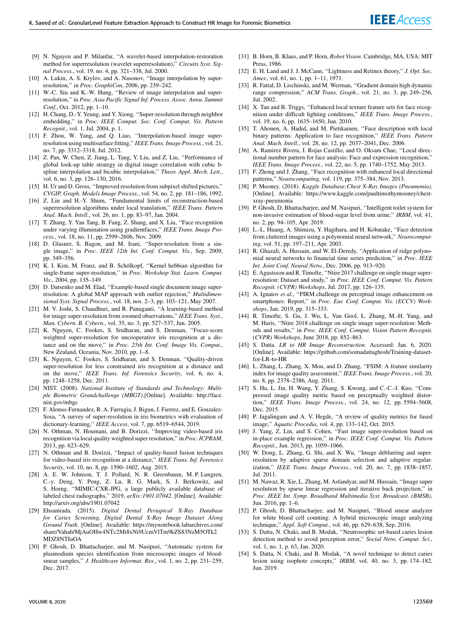- [9] N. Nguyen and P. Milanfar, ''A wavelet-based interpolation-restoration method for superresolution (wavelet superresolution),'' *Circuits Syst. Signal Process.*, vol. 19, no. 4, pp. 321–338, Jul. 2000.
- [10] A. Lukin, A. S. Krylov, and A. Nasonov, "Image interpolation by superresolution,'' in *Proc. GraphiCon*, 2006, pp. 239–242.
- [11] W.-C. Siu and K.-W. Hung, "Review of image interpolation and superresolution,'' in *Proc. Asia Pacific Signal Inf. Process. Assoc. Annu. Summit Conf.*, Oct. 2012, pp. 1–10.
- [12] H. Chang, D.-Y. Yeung, and Y. Xiong, ''Super-resolution through neighbor embedding,'' in *Proc. IEEE Comput. Soc. Conf. Comput. Vis. Pattern Recognit.*, vol. 1, Jul. 2004, p. 1.
- [13] F. Zhou, W. Yang, and Q. Liao, "Interpolation-based image superresolution using multisurface fitting,'' *IEEE Trans. Image Process.*, vol. 21, no. 7, pp. 3312–3318, Jul. 2012.
- [14] Z. Pan, W. Chen, Z. Jiang, L. Tang, Y. Liu, and Z. Liu, "Performance of global look-up table strategy in digital image correlation with cubic bspline interpolation and bicubic interpolation,'' *Theor. Appl. Mech. Lett.*, vol. 6, no. 3, pp. 126–130, 2016.
- [15] H. Ur and D. Gross, ''Improved resolution from subpixel shifted pictures,'' *CVGIP, Graph. Models Image Process.*, vol. 54, no. 2, pp. 181–186, 1992.
- [16] Z. Lin and H.-Y. Shum, ''Fundamental limits of reconstruction-based superresolution algorithms under local translation,'' *IEEE Trans. Pattern Anal. Mach. Intell.*, vol. 26, no. 1, pp. 83–97, Jan. 2004.
- [17] T. Zhang, Y. Yan Tang, B. Fang, Z. Shang, and X. Liu, "Face recognition under varying illumination using gradientfaces,'' *IEEE Trans. Image Process.*, vol. 18, no. 11, pp. 2599–2606, Nov. 2009.
- [18] D. Glasner, S. Bagon, and M. Irani, "Super-resolution from a single image,'' in *Proc. IEEE 12th Int. Conf. Comput. Vis.*, Sep. 2009, pp. 349–356.
- [19] K. I. Kim, M. Franz, and B. Schölkopf, ''Kernel hebbian algorithm for single-frame super-resolution,'' in *Proc. Workshop Stat. Learn. Comput. Vis.*, 2004, pp. 135–149.
- [20] D. Datsenko and M. Elad, "Example-based single document image superresolution: A global MAP approach with outlier rejection,'' *Multidimensional Syst. Signal Process.*, vol. 18, nos. 2–3, pp. 103–121, May 2007.
- [21] M. V. Joshi, S. Chaudhuri, and R. Panuganti, "A learning-based method for image super-resolution from zoomed observations,'' *IEEE Trans. Syst., Man, Cybern. B. Cybern.*, vol. 35, no. 3, pp. 527–537, Jun. 2005.
- [22] K. Nguyen, C. Fookes, S. Sridharan, and S. Denman, ''Focus-score weighted super-resolution for uncooperative iris recognition at a distance and on the move,'' in *Proc. 25th Int. Conf. Image Vis. Comput.*, New Zealand, Oceania, Nov. 2010, pp. 1–8.
- [23] K. Nguyen, C. Fookes, S. Sridharan, and S. Denman, ''Quality-driven super-resolution for less constrained iris recognition at a distance and on the move,'' *IEEE Trans. Inf. Forensics Security*, vol. 6, no. 4, pp. 1248–1258, Dec. 2011.
- [24] NIST. (2008). *National Institute of Standards and Technology: Multiple Biometric Grandchallenge (MBGT)*.[Online]. Available: http://face. nist.gov/mbgc
- [25] F. Alonso-Fernandez, R. A. Farrugia, J. Bigun, J. Fierrez, and E. Gonzalez-Sosa, ''A survey of super-resolution in iris biometrics with evaluation of dictionary-learning,'' *IEEE Access*, vol. 7, pp. 6519–6544, 2019.
- [26] N. Othman, N. Houmani, and B. Dorizzi, ''Improving video-based iris recognition via local quality weighted super resolution,'' in *Proc. ICPRAM*, 2013, pp. 623–629.
- [27] N. Othman and B. Dorizzi, "Impact of quality-based fusion techniques for video-based iris recognition at a distance,'' *IEEE Trans. Inf. Forensics Security*, vol. 10, no. 8, pp. 1590–1602, Aug. 2015.
- [28] A. E. W. Johnson, T. J. Pollard, N. R. Greenbaum, M. P. Lungren, C.-y. Deng, Y. Peng, Z. Lu, R. G. Mark, S. J. Berkowitz, and S. Horng, ''MIMIC-CXR-JPG, a large publicly available database of labeled chest radiographs,'' 2019, *arXiv:1901.07042*. [Online]. Available: http://arxiv.org/abs/1901.07042
- [29] Ehsanirada. (2015). *Digital Dental Periapical X-Ray Database for Caries Screening, Digital Dental X-Ray Image Dataset Along Ground Truth*. [Online]. Available: https://mynotebook.labarchives.com/ share/Vahab/MjAuOHw4NTc2Mi8xNi9UcmVlTm9kZS83NzM5OTk2 MDZ8NTIuOA
- [30] P. Ghosh, D. Bhattacharjee, and M. Nasipuri, ''Automatic system for plasmodium species identification from microscopic images of bloodsmear samples,'' *J. Healthcare Informat. Res.*, vol. 1, no. 2, pp. 231–259, Dec. 2017.
- [31] B. Horn, B. Klaus, and P. Horn, *Robot Vision*. Cambridge, MA, USA: MIT Press, 1986.
- [32] E. H. Land and J. J. McCann, ''Lightness and Retinex theory,'' *J. Opt. Soc. Amer.*, vol. 61, no. 1, pp. 1–11, 1971.
- [33] R. Fattal, D. Lischinski, and M. Werman, "Gradient domain high dynamic range compression,'' *ACM Trans. Graph.*, vol. 21, no. 3, pp. 249–256, Jul. 2002.
- [34] X. Tan and B. Triggs, "Enhanced local texture feature sets for face recognition under difficult lighting conditions,'' *IEEE Trans. Image Process.*, vol. 19, no. 6, pp. 1635–1650, Jun. 2010.
- [35] T. Ahonen, A. Hadid, and M. Pietikainen, "Face description with local binary patterns: Application to face recognition,'' *IEEE Trans. Pattern Anal. Mach. Intell.*, vol. 28, no. 12, pp. 2037–2041, Dec. 2006.
- [36] A. Ramirez Rivera, J. Rojas Castillo, and O. Oksam Chae, "Local directional number pattern for face analysis: Face and expression recognition,'' *IEEE Trans. Image Process.*, vol. 22, no. 5, pp. 1740–1752, May 2013.
- [37] F. Zhong and J. Zhang, "Face recognition with enhanced local directional patterns,'' *Neurocomputing*, vol. 119, pp. 375–384, Nov. 2013.
- [38] P. Mooney. (2018). *Kaggle Database;Chest X-Ray Images (Pneumonia)*. [Online]. Available: https://www.kaggle.com/paultimothymooney/chestxray-pneumonia
- [39] P. Ghosh, D. Bhattacharjee, and M. Nasipuri, "Intelligent toilet system for non-invasive estimation of blood-sugar level from urine,'' *IRBM*, vol. 41, no. 2, pp. 94–105, Apr. 2019.
- [40] L.-L. Huang, A. Shimizu, Y. Hagihara, and H. Kobatake, ''Face detection from cluttered images using a polynomial neural network,'' *Neurocomputing*, vol. 51, pp. 197–211, Apr. 2003.
- [41] R. Ghazali, A. Hussain, and W. El-Deredy, "Application of ridge polynomial neural networks to financial time series prediction,'' in *Proc. IEEE Int. Joint Conf. Neural Netw.*, Dec. 2006, pp. 913–920.
- [42] E. Agustsson and R. Timofte, "Ntire 2017 challenge on single image superresolution: Dataset and study,'' in *Proc. IEEE Conf. Comput. Vis. Pattern Recognit. (CVPR) Workshops*, Jul. 2017, pp. 126–135.
- [43] A. Ignatov et al., "PIRM challenge on perceptual image enhancement on smartphones: Report," in Proc. Eur. Conf. Comput. Vis. (ECCV) Work*shops*, Jan. 2019, pp. 315–333.
- [44] R. Timofte, S. Gu, J. Wu, L. Van Gool, L. Zhang, M.-H. Yang, and M. Haris, ''Ntire 2018 challenge on single image super-resolution: Methods and results,'' in *Proc. IEEE Conf. Comput. Vision Pattern Recognit. (CVPR) Workshops*, June 2018, pp. 852–863.
- [45] S. Datta. *LR to HR Image Reconstruction*. Accessed: Jan. 6, 2020. [Online]. Available: https://github.com/somadattaghosh/Training-datasetfor-LR-to-HR
- [46] L. Zhang, L. Zhang, X. Mou, and D. Zhang, "FSIM: A feature similarity index for image quality assessment,'' *IEEE Trans. Image Process.*, vol. 20, no. 8, pp. 2378–2386, Aug. 2011.
- [47] S. Hu, L. Jin, H. Wang, Y. Zhang, S. Kwong, and C.-C.-J. Kuo, ''Compressed image quality metric based on perceptually weighted distortion,'' *IEEE Trans. Image Process.*, vol. 24, no. 12, pp. 5594–5608, Dec. 2015.
- [48] P. Jagalingam and A. V. Hegde, "A review of quality metrics for fused image,'' *Aquatic Procedia*, vol. 4, pp. 133–142, Oct. 2015.
- [49] J. Yang, Z. Lin, and S. Cohen, "Fast image super-resolution based on in-place example regression,'' in *Proc. IEEE Conf. Comput. Vis. Pattern Recognit.*, Jun. 2013, pp. 1059–1066.
- [50] W. Dong, L. Zhang, G. Shi, and X. Wu, ''Image deblurring and superresolution by adaptive sparse domain selection and adaptive regularization,'' *IEEE Trans. Image Process.*, vol. 20, no. 7, pp. 1838–1857, Jul. 2011.
- [51] M. Nawaz, R. Xie, L. Zhang, M. Asfandyar, and M. Hussain, ''Image super resolution by sparse linear regression and iterative back projection,'' in *Proc. IEEE Int. Symp. Broadband Multimedia Syst. Broadcast. (BMSB)*, Jun. 2016, pp. 1–6.
- [52] P. Ghosh, D. Bhattacharjee, and M. Nasipuri, ''Blood smear analyzer for white blood cell counting: A hybrid microscopic image analyzing technique,'' *Appl. Soft Comput.*, vol. 46, pp. 629–638, Sep. 2016.
- [53] S. Datta, N. Chaki, and B. Modak, "Neutrosophic set-based caries lesion detection method to avoid perception error,'' *Social Netw. Comput. Sci.*, vol. 1, no. 1, p. 63, Jan. 2020.
- [54] S. Datta, N. Chaki, and B. Modak, "A novel technique to detect caries lesion using isophote concepts,'' *IRBM*, vol. 40, no. 3, pp. 174–182, Jun. 2019.